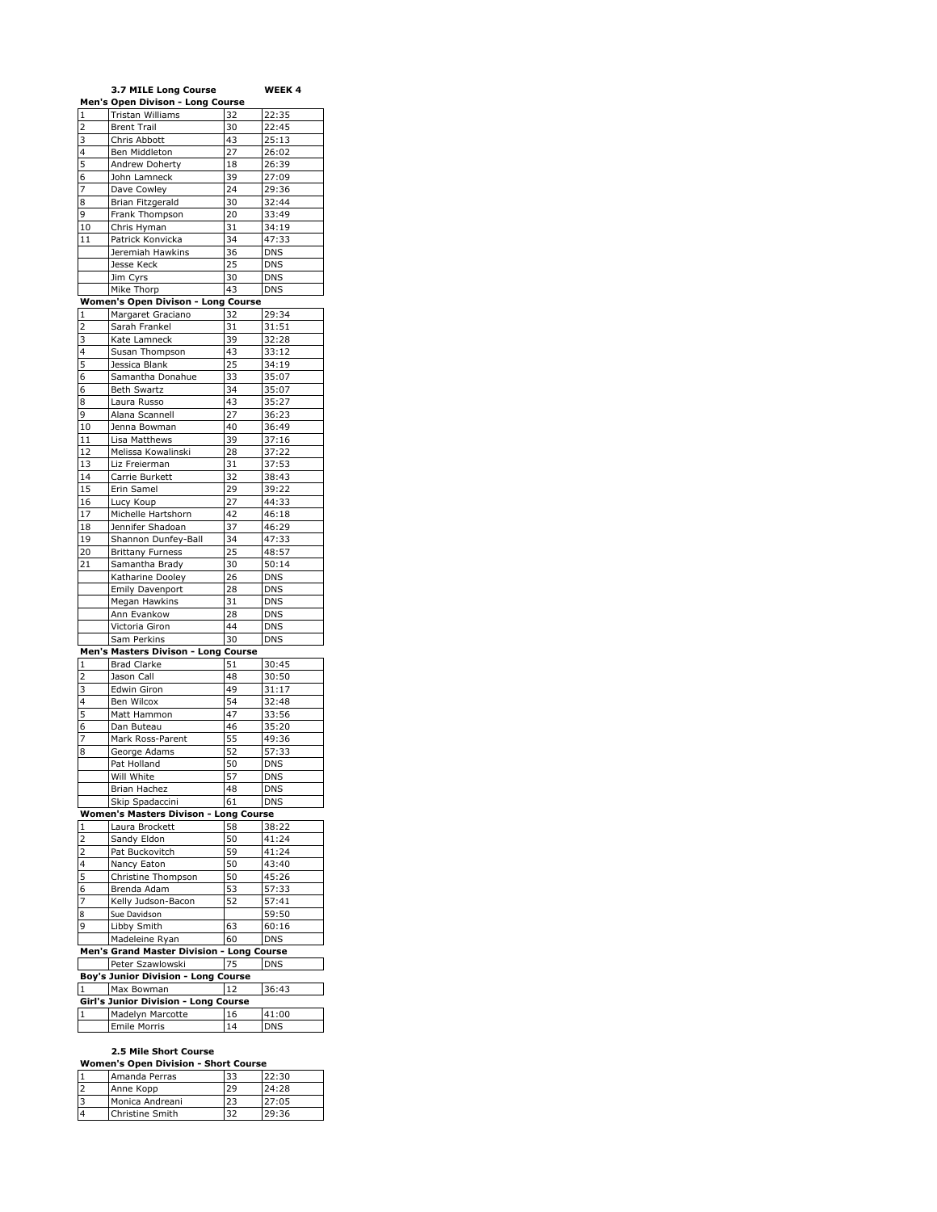|                              | 3.7 MILE Long Course                                    |          | WEEK 4         |
|------------------------------|---------------------------------------------------------|----------|----------------|
|                              | Men's Open Divison - Long Course                        |          |                |
| 1                            | Tristan Williams<br><b>Brent Trail</b>                  | 32       | 22:35          |
| $\overline{2}$<br>3          | Chris Abbott                                            | 30<br>43 | 22:45<br>25:13 |
| 4                            | Ben Middleton                                           | 27       | 26:02          |
| 5                            | Andrew Doherty                                          | 18       | 26:39          |
| 6                            | John Lamneck                                            | 39       | 27:09          |
| 7                            | Dave Cowley                                             | 24       | 29:36          |
| 8                            | Brian Fitzgerald                                        | 30       | 32:44          |
| 9                            | Frank Thompson                                          | 20       | 33:49          |
| 10                           | Chris Hyman                                             | 31       | 34:19          |
| 11                           | Patrick Konvicka                                        | 34       | 47:33          |
|                              | Jeremiah Hawkins                                        | 36       | <b>DNS</b>     |
|                              | Jesse Keck                                              | 25       | DNS            |
|                              | Jim Cyrs                                                | 30       | <b>DNS</b>     |
|                              | Mike Thorp                                              | 43       | <b>DNS</b>     |
| 1                            | Women's Open Divison - Long Course<br>Margaret Graciano | 32       | 29:34          |
| $\overline{2}$               | Sarah Frankel                                           | 31       | 31:51          |
| 3                            | Kate Lamneck                                            | 39       | 32:28          |
| 4                            | Susan Thompson                                          | 43       | 33:12          |
| 5                            | Jessica Blank                                           | 25       | 34:19          |
| 6                            | Samantha Donahue                                        | 33       | 35:07          |
| 6                            | <b>Beth Swartz</b>                                      | 34       | 35:07          |
| 8                            | Laura Russo                                             | 43       | 35:27          |
| 9                            | Alana Scannell                                          | 27       | 36:23          |
| 10                           | Jenna Bowman                                            | 40       | 36:49          |
| 11                           | Lisa Matthews                                           | 39       | 37:16          |
| 12                           | Melissa Kowalinski                                      | 28       | 37:22          |
| 13                           | Liz Freierman                                           | 31       | 37:53          |
| 14                           | Carrie Burkett                                          | 32       | 38:43          |
| 15<br>16                     | Erin Samel<br>Lucy Koup                                 | 29<br>27 | 39:22<br>44:33 |
| 17                           | Michelle Hartshorn                                      | 42       | 46:18          |
| 18                           | Jennifer Shadoan                                        | 37       | 46:29          |
| 19                           | Shannon Dunfey-Ball                                     | 34       | 47:33          |
| 20                           | <b>Brittany Furness</b>                                 | 25       | 48:57          |
| 21                           | Samantha Brady                                          | 30       | 50:14          |
|                              | Katharine Dooley                                        | 26       | DNS            |
|                              | Emily Davenport                                         | 28       | DNS            |
|                              | Megan Hawkins                                           | 31       | <b>DNS</b>     |
|                              | Ann Evankow                                             | 28       | <b>DNS</b>     |
|                              | Victoria Giron                                          | 44       | <b>DNS</b>     |
|                              | Sam Perkins                                             | 30       | <b>DNS</b>     |
|                              | Men's Masters Divison - Long                            | Course   |                |
| 1<br>$\overline{\mathbf{c}}$ | <b>Brad Clarke</b><br>Jason Call                        | 51<br>48 | 30:45<br>30:50 |
| 3                            | Edwin Giron                                             | 49       | 31:17          |
| 4                            | Ben Wilcox                                              | 54       | 32:48          |
| 5                            | Matt Hammon                                             | 47       | 33:56          |
| 6                            | Dan Buteau                                              | 46       | 35:20          |
| 7                            | Mark Ross-Parent                                        | 55       | 49:36          |
| 8                            | George Adams                                            | 52       | 57:33          |
|                              | Pat Holland                                             | 50       | <b>DNS</b>     |
|                              | Will White                                              | 57       | DNS            |
|                              | Brian Hachez                                            | 48       | DNS            |
|                              | Skip Spadaccini                                         | 61       | <b>DNS</b>     |
|                              | Women's Masters Divison - Long Course                   | 58       |                |
| 1<br>2                       | Laura Brockett<br>Sandy Eldon                           | 50       | 38:22<br>41:24 |
| $\overline{c}$               | Pat Buckovitch                                          | 59       | 41:24          |
| 4                            | Nancy Eaton                                             | 50       | 43:40          |
| 5                            | Christine Thompson                                      | 50       | 45:26          |
| 6                            | Brenda Adam                                             | 53       | 57:33          |
| 7                            | Kelly Judson-Bacon                                      | 52       | 57:41          |
| 8                            | Sue Davidson                                            |          | 59:50          |
| 9                            | Libby Smith                                             | 63       | 60:16          |
|                              | Madeleine Ryan                                          | 60       | <b>DNS</b>     |
|                              | Men's Grand Master Division - Long Course               |          |                |
|                              | Peter Szawlowski                                        | 75       | <b>DNS</b>     |
|                              | Boy's Junior Division - Long Course                     |          |                |
| 1                            | Max Bowman                                              | 12       | 36:43          |
| 1                            | Girl's Junior Division - Long Course                    |          |                |
|                              | Madelyn Marcotte                                        | 16       | 41:00          |
|                              | Emile Morris                                            | 14       | DNS            |

# **2.5 Mile Short Course**

| <b>Women's Open Division - Short Course</b> |                 |    |       |
|---------------------------------------------|-----------------|----|-------|
|                                             | Amanda Perras   | 33 | 22:30 |
| 2                                           | Anne Kopp       | 29 | 24:28 |
| 3                                           | Monica Andreani | 23 | 27:05 |
| $\overline{4}$                              | Christine Smith | 32 | 29:36 |